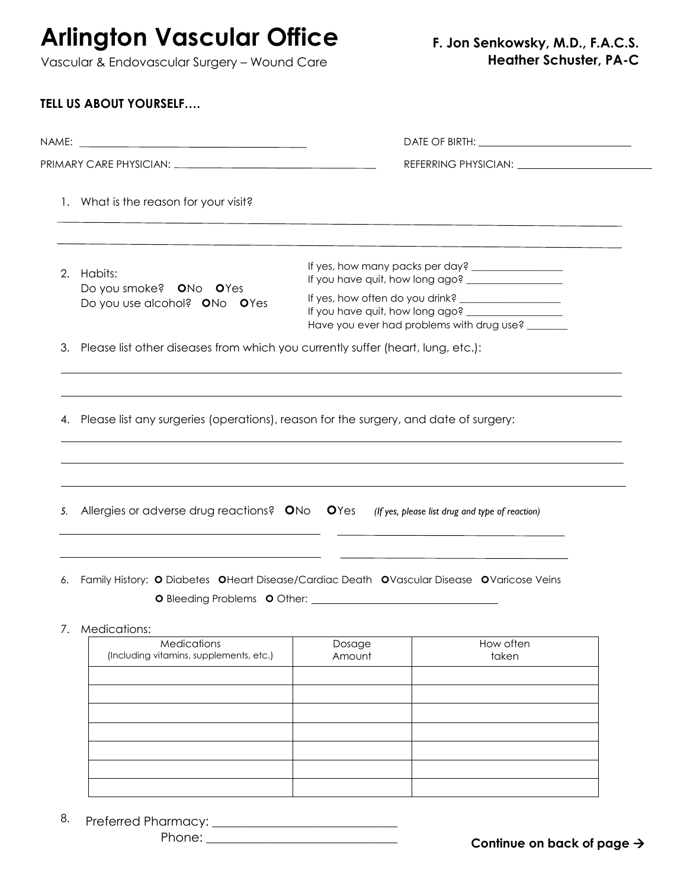**Arlington Vascular Office** Vascular & Endovascular Surgery – Wound Care

| 2.                                                                                 | Habits:<br>Do you smoke? ONo OYes                                                                                                       | If you have quit, how long ago? ___________________<br>If yes, how often do you drink? ____________________<br>Have you ever had problems with drug use? |                                                                                                 |
|------------------------------------------------------------------------------------|-----------------------------------------------------------------------------------------------------------------------------------------|----------------------------------------------------------------------------------------------------------------------------------------------------------|-------------------------------------------------------------------------------------------------|
|                                                                                    | Do you use alcohol? ONo OYes                                                                                                            |                                                                                                                                                          |                                                                                                 |
| 3. Please list other diseases from which you currently suffer (heart, lung, etc.): |                                                                                                                                         |                                                                                                                                                          |                                                                                                 |
| 5.                                                                                 | Allergies or adverse drug reactions? ONo OYes (If yes, please list drug and type of reaction)                                           |                                                                                                                                                          |                                                                                                 |
|                                                                                    |                                                                                                                                         |                                                                                                                                                          | the contract of the contract of the contract of the contract of the contract of the contract of |
| 6.                                                                                 | Family History: O Diabetes OHeart Disease/Cardiac Death OVascular Disease OVaricose Veins<br><b>O</b> Bleeding Problems <b>O</b> Other: |                                                                                                                                                          |                                                                                                 |
|                                                                                    | 7. Medications:<br>Medications<br>(Including vitamins, supplements, etc.)                                                               | Dosage<br>Amount                                                                                                                                         | How often<br>taken                                                                              |
|                                                                                    |                                                                                                                                         |                                                                                                                                                          |                                                                                                 |
|                                                                                    |                                                                                                                                         |                                                                                                                                                          |                                                                                                 |
|                                                                                    |                                                                                                                                         |                                                                                                                                                          |                                                                                                 |

Preferred Pharmacy: \_\_\_\_\_\_\_\_\_\_\_\_\_\_\_\_\_\_\_\_\_\_\_\_\_\_\_\_\_\_ 8.

Phone: \_\_\_\_\_\_\_\_\_\_\_\_\_\_\_\_\_\_\_\_\_\_\_\_\_\_\_\_\_\_\_

**Continue on back of page**